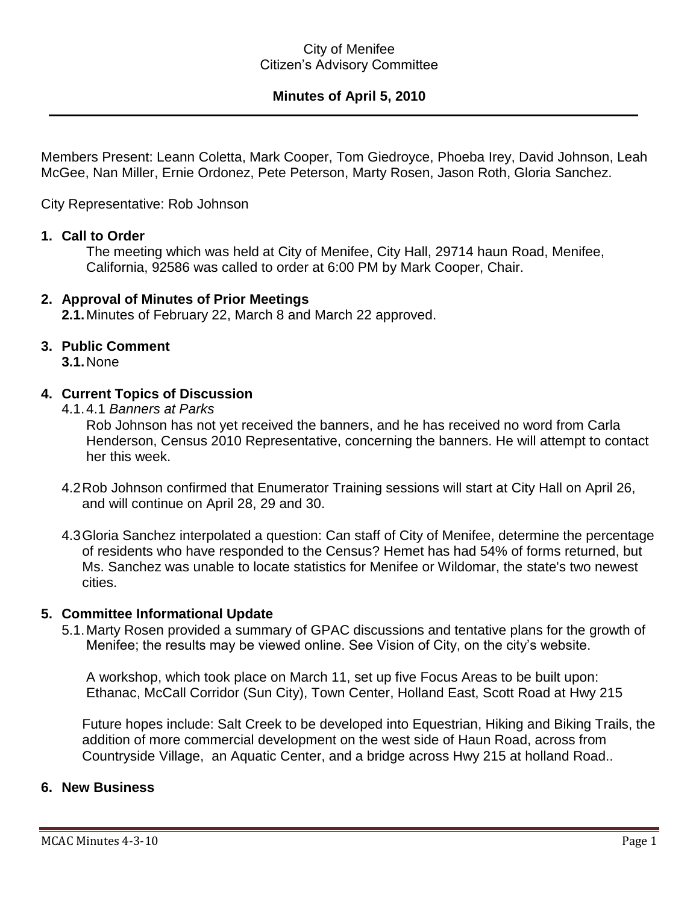#### City of Menifee Citizen's Advisory Committee

# **Minutes of April 5, 2010**

Members Present: Leann Coletta, Mark Cooper, Tom Giedroyce, Phoeba Irey, David Johnson, Leah McGee, Nan Miller, Ernie Ordonez, Pete Peterson, Marty Rosen, Jason Roth, Gloria Sanchez.

City Representative: Rob Johnson

#### **1. Call to Order**

The meeting which was held at City of Menifee, City Hall, 29714 haun Road, Menifee, California, 92586 was called to order at 6:00 PM by Mark Cooper, Chair.

#### **2. Approval of Minutes of Prior Meetings**

**2.1.**Minutes of February 22, March 8 and March 22 approved.

### **3. Public Comment**

**3.1.**None

#### **4. Current Topics of Discussion**

4.1.4.1 *Banners at Parks*

Rob Johnson has not yet received the banners, and he has received no word from Carla Henderson, Census 2010 Representative, concerning the banners. He will attempt to contact her this week.

- 4.2Rob Johnson confirmed that Enumerator Training sessions will start at City Hall on April 26, and will continue on April 28, 29 and 30.
- 4.3Gloria Sanchez interpolated a question: Can staff of City of Menifee, determine the percentage of residents who have responded to the Census? Hemet has had 54% of forms returned, but Ms. Sanchez was unable to locate statistics for Menifee or Wildomar, the state's two newest cities.

#### **5. Committee Informational Update**

5.1.Marty Rosen provided a summary of GPAC discussions and tentative plans for the growth of Menifee; the results may be viewed online. See Vision of City, on the city's website.

A workshop, which took place on March 11, set up five Focus Areas to be built upon: Ethanac, McCall Corridor (Sun City), Town Center, Holland East, Scott Road at Hwy 215

Future hopes include: Salt Creek to be developed into Equestrian, Hiking and Biking Trails, the addition of more commercial development on the west side of Haun Road, across from Countryside Village, an Aquatic Center, and a bridge across Hwy 215 at holland Road..

#### **6. New Business**